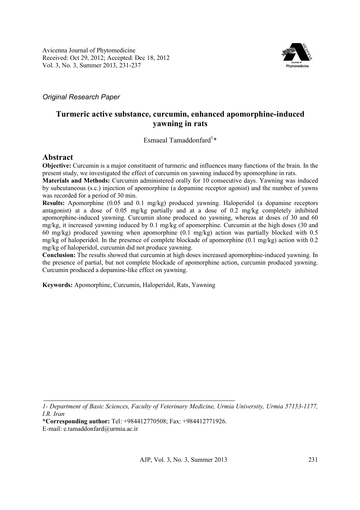

*Original Research Paper* 

# **Turmeric active substance, curcumin, enhanced apomorphine-induced yawning in rats**

Esmaeal Tamaddonfard<sup>1</sup>\*

# **Abstract**

**Objective:** Curcumin is a major constituent of turmeric and influences many functions of the brain. In the present study, we investigated the effect of curcumin on yawning induced by apomorphine in rats.

**Materials and Methods:** Curcumin administered orally for 10 consecutive days. Yawning was induced by subcutaneous (s.c.) injection of apomorphine (a dopamine receptor agonist) and the number of yawns was recorded for a period of 30 min.

**Results:** Apomorphine (0.05 and 0.1 mg/kg) produced yawning. Haloperidol (a dopamine receptors antagonist) at a dose of 0.05 mg/kg partially and at a dose of 0.2 mg/kg completely inhibited apomorphine-induced yawning. Curcumin alone produced no yawning, whereas at doses of 30 and 60 mg/kg, it increased yawning induced by 0.1 mg/kg of apomorphine. Curcumin at the high doses (30 and 60 mg/kg) produced yawning when apomorphine (0.1 mg/kg) action was partially blocked with 0.5 mg/kg of haloperidol. In the presence of complete blockade of apomorphine (0.1 mg/kg) action with 0.2 mg/kg of haloperidol, curcumin did not produce yawning.

**Conclusion:** The results showed that curcumin at high doses increased apomorphine-induced yawning. In the presence of partial, but not complete blockade of apomorphine action, curcumin produced yawning. Curcumin produced a dopamine-like effect on yawning.

**Keywords:** Apomorphine, Curcumin, Haloperidol, Rats, Yawning

*<sup>1-</sup> Department of Basic Sciences, Faculty of Veterinary Medicine, Urmia University, Urmia 57153-1177, I.R. Iran* 

<sup>\*</sup>**Corresponding author:** Tel: +984412770508; Fax: +984412771926.

E-mail: e.tamaddonfard@urmia.ac.ir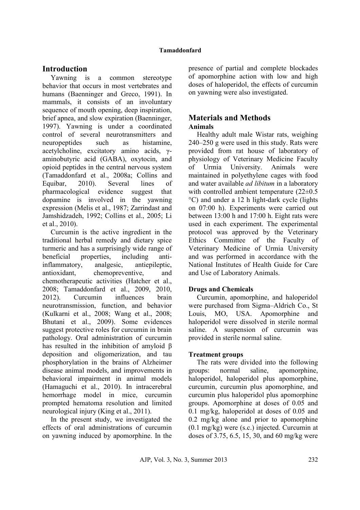# **Introduction**

Yawning is a common stereotype behavior that occurs in most vertebrates and humans (Baenninger and Greco, 1991). In mammals, it consists of an involuntary sequence of mouth opening, deep inspiration, brief apnea, and slow expiration (Baenninger, 1997). Yawning is under a coordinated control of several neurotransmitters and neuropeptides such as histamine, acetylcholine, excitatory amino acids, γaminobutyric acid (GABA), oxytocin, and opioid peptides in the central nervous system (Tamaddonfard et al., 2008a; Collins and Equibar, 2010). Several lines of pharmacological evidence suggest that dopamine is involved in the yawning expression (Melis et al., 1987; Zarrindast and Jamshidzadeh, 1992; Collins et al., 2005; Li et al., 2010).

Curcumin is the active ingredient in the traditional herbal remedy and dietary spice turmeric and has a surprisingly wide range of beneficial properties, including antiinflammatory, analgesic, antiepileptic, antioxidant, chemopreventive, and chemotherapeutic activities (Hatcher et al., 2008; Tamaddonfard et al., 2009, 2010, 2012). Curcumin influences brain neurotransmission, function, and behavior (Kulkarni et al., 2008; Wang et al., 2008; Bhutani et al., 2009). Some evidences suggest protective roles for curcumin in brain pathology. Oral administration of curcumin has resulted in the inhibition of amyloid β deposition and oligomerization, and tau phosphorylation in the brains of Alzheimer disease animal models, and improvements in behavioral impairment in animal models (Hamaguchi et al., 2010). In intracerebral hemorrhage model in mice, curcumin prompted hematoma resolution and limited neurological injury (King et al., 2011).

In the present study, we investigated the effects of oral administrations of curcumin on yawning induced by apomorphine. In the

presence of partial and complete blockades of apomorphine action with low and high doses of haloperidol, the effects of curcumin on yawning were also investigated.

### **Materials and Methods Animals**

Healthy adult male Wistar rats, weighing 240–250 g were used in this study. Rats were provided from rat house of laboratory of physiology of Veterinary Medicine Faculty of Urmia University. Animals were maintained in polyethylene cages with food and water available *ad libitum* in a laboratory with controlled ambient temperature  $(22\pm0.5)$ °C) and under a 12 h light-dark cycle (lights on 07:00 h). Experiments were carried out between 13:00 h and 17:00 h. Eight rats were used in each experiment. The experimental protocol was approved by the Veterinary Ethics Committee of the Faculty of Veterinary Medicine of Urmia University and was performed in accordance with the National Institutes of Health Guide for Care and Use of Laboratory Animals.

## **Drugs and Chemicals**

Curcumin, apomorphine, and haloperidol were purchased from Sigma–Aldrich Co., St Louis, MO, USA. Apomorphine and haloperidol were dissolved in sterile normal saline. A suspension of curcumin was provided in sterile normal saline.

## **Treatment groups**

The rats were divided into the following groups: normal saline, apomorphine, haloperidol, haloperidol plus apomorphine, curcumin, curcumin plus apomorphine, and curcumin plus haloperidol plus apomorphine groups. Apomorphine at doses of 0.05 and 0.1 mg/kg, haloperidol at doses of 0.05 and 0.2 mg/kg alone and prior to apomorphine (0.1 mg/kg) were (s.c.) injected. Curcumin at doses of 3.75, 6.5, 15, 30, and 60 mg/kg were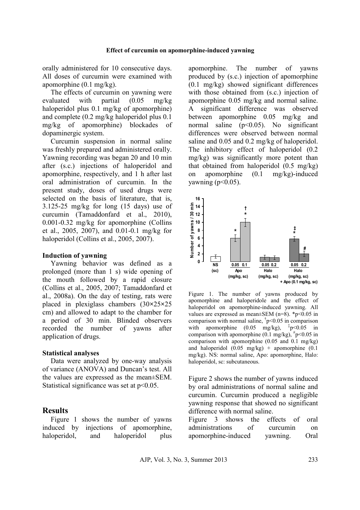orally administered for 10 consecutive days. All doses of curcumin were examined with apomorphine (0.1 mg/kg).

The effects of curcumin on yawning were evaluated with partial (0.05 mg/kg haloperidol plus 0.1 mg/kg of apomorphine) and complete (0.2 mg/kg haloperidol plus 0.1 mg/kg of apomorphine) blockades of dopaminergic system.

Curcumin suspension in normal saline was freshly prepared and administered orally. Yawning recording was began 20 and 10 min after (s.c.) injections of haloperidol and apomorphine, respectively, and 1 h after last oral administration of curcumin. In the present study, doses of used drugs were selected on the basis of literature, that is, 3.125-25 mg/kg for long (15 days) use of curcumin (Tamaddonfard et al., 2010), 0.001-0.32 mg/kg for apomorphine (Collins et al., 2005, 2007), and 0.01-0.1 mg/kg for haloperidol (Collins et al., 2005, 2007).

#### **Induction of yawning**

Yawning behavior was defined as a prolonged (more than 1 s) wide opening of the mouth followed by a rapid closure (Collins et al., 2005, 2007; Tamaddonfard et al., 2008a). On the day of testing, rats were placed in plexiglass chambers (30**×**25**×**25 cm) and allowed to adapt to the chamber for a period of 30 min. Blinded observers recorded the number of yawns after application of drugs.

#### **Statistical analyses**

Data were analyzed by one-way analysis of variance (ANOVA) and Duncan's test. All the values are expressed as the mean±SEM. Statistical significance was set at  $p<0.05$ .

### **Results**

Figure 1 shows the number of yawns induced by injections of apomorphine, haloperidol, and haloperidol plus apomorphine. The number of yawns produced by (s.c.) injection of apomorphine (0.1 mg/kg) showed significant differences with those obtained from  $(s.c.)$  injection of apomorphine 0.05 mg/kg and normal saline. A significant difference was observed between apomorphine 0.05 mg/kg and normal saline  $(p<0.05)$ . No significant differences were observed between normal saline and 0.05 and 0.2 mg/kg of haloperidol. The inhibitory effect of haloperidol (0.2 mg/kg) was significantly more potent than that obtained from haloperidol (0.5 mg/kg) on apomorphine (0.1 mg/kg)-induced yawning  $(p<0.05)$ .



Figure 1. The number of yawns produced by apomorphine and haloperidole and the effect of haloperidol on apomorphine-induced yawning. All values are expressed as mean $\pm$ SEM (n=8). \*p<0.05 in comparison with normal saline,  $\frac{1}{2}p<0.05$  in comparison with apomorphine  $(0.05 \text{ mg/kg})$ ,  $\frac{1}{7}$ p<0.05 in comparison with apomorphine (0.1 mg/kg),  $\frac{4}{7}$ p<0.05 in comparison with apomorphine (0.05 and 0.1 mg/kg) and haloperidol  $(0.05 \text{ mg/kg})$  + apomorphine  $(0.1$ mg/kg). NS: normal saline, Apo: apomorphine, Halo: haloperidol, sc: subcutaneous.

Figure 2 shows the number of yawns induced by oral administrations of normal saline and curcumin. Curcumin produced a negligible yawning response that showed no significant difference with normal saline.

Figure 3 shows the effects of oral administrations of curcumin on apomorphine-induced yawning. Oral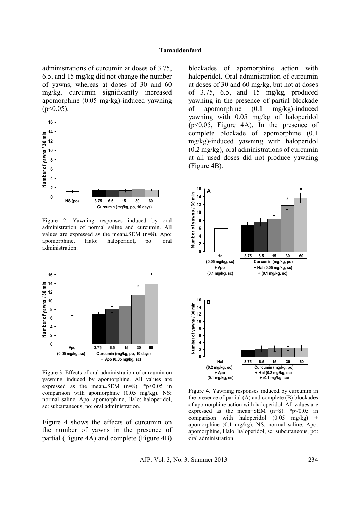#### **Tamaddonfard**

administrations of curcumin at doses of 3.75, 6.5, and 15 mg/kg did not change the number of yawns, whereas at doses of 30 and 60 mg/kg, curcumin significantly increased apomorphine (0.05 mg/kg)-induced yawning  $(p<0.05)$ .



Figure 2. Yawning responses induced by oral administration of normal saline and curcumin. All values are expressed as the mean±SEM (n=8). Apo: apomorphine, Halo: haloperidol, po: oral administration.



Figure 3. Effects of oral administration of curcumin on yawning induced by apomorphine. All values are expressed as the mean $\pm$ SEM (n=8). \*p<0.05 in comparison with apomorphine (0.05 mg/kg). NS: normal saline, Apo: apomorphine, Halo: haloperidol, sc: subcutaneous, po: oral administration.

Figure 4 shows the effects of curcumin on the number of yawns in the presence of partial (Figure 4A) and complete (Figure 4B) blockades of apomorphine action with haloperidol. Oral administration of curcumin at doses of 30 and 60 mg/kg, but not at doses of 3.75, 6.5, and 15 mg/kg, produced yawning in the presence of partial blockade of apomorphine (0.1 mg/kg)-induced yawning with 0.05 mg/kg of haloperidol (p<0.05, Figure 4A). In the presence of complete blockade of apomorphine (0.1 mg/kg)-induced yawning with haloperidol (0.2 mg/kg), oral administrations of curcumin at all used doses did not produce yawning (Figure 4B).



Figure 4. Yawning responses induced by curcumin in the presence of partial (A) and complete (B) blockades of apomorphine action with haloperidol. All values are expressed as the mean $\pm$ SEM (n=8). \*p<0.05 in comparison with haloperidol  $(0.05 \text{ mg/kg})$ apomorphine (0.1 mg/kg). NS: normal saline, Apo: apomorphine, Halo: haloperidol, sc: subcutaneous, po: oral administration.

AJP, Vol. 3, No. 3, Summer 2013 234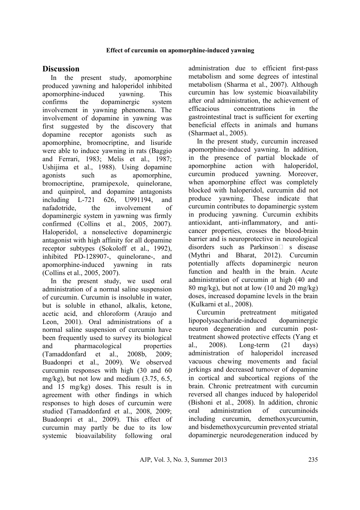### **Effect of curcumin on apomorphine-induced yawning**

# **Discussion**

In the present study, apomorphine produced yawning and haloperidol inhibited apomorphine-induced yawning. This confirms the dopaminergic system involvement in yawning phenomena. The involvement of dopamine in yawning was first suggested by the discovery that dopamine receptor agonists such as apomorphine, bromocriptine, and lisuride were able to induce yawning in rats (Baggio and Ferrari, 1983; Melis et al., 1987; Ushijima et al., 1988). Using dopamine agonists such as apomorphine, bromocriptine, pramipexole, quinelorane, and quinpirol, and dopamine antagonists including L-721 626, U991194, and nafadotride, the involvement of dopaminergic system in yawning was firmly confirmed (Collins et al., 2005, 2007). Haloperidol, a nonselective dopaminergic antagonist with high affinity for all dopamine receptor subtypes (Sokoloff et al., 1992), inhibited PD-128907-, quinelorane-, and apomorphine-induced yawning in rats (Collins et al., 2005, 2007).

In the present study, we used oral administration of a normal saline suspension of curcumin. Curcumin is insoluble in water, but is soluble in ethanol, alkalis, ketone, acetic acid, and chloroform (Araujo and Leon, 2001). Oral administrations of a normal saline suspension of curcumin have been frequently used to survey its biological and pharmacological properties (Tamaddonfard et al., 2008b, 2009; Buadonpri et al., 2009). We observed curcumin responses with high (30 and 60 mg/kg), but not low and medium (3.75, 6.5, and 15 mg/kg) doses. This result is in agreement with other findings in which responses to high doses of curcumin were studied (Tamaddonfard et al., 2008, 2009; Buadonpri et al., 2009). This effect of curcumin may partly be due to its low systemic bioavailability following oral

administration due to efficient first-pass metabolism and some degrees of intestinal metabolism (Sharma et al., 2007). Although curcumin has low systemic bioavailability after oral administration, the achievement of efficacious concentrations in the gastrointestinal tract is sufficient for exerting beneficial effects in animals and humans (Sharmaet al., 2005).

In the present study, curcumin increased apomorphine-induced yawning. In addition, in the presence of partial blockade of apomorphine action with haloperidol, curcumin produced yawning. Moreover, when apomorphine effect was completely blocked with haloperidol, curcumin did not produce yawning. These indicate that curcumin contributes to dopaminergic system in producing yawning. Curcumin exhibits antioxidant, anti-inflammatory, and anticancer properties, crosses the blood-brain barrier and is neuroprotective in neurological disorders such as Parkinson $\Box$  s disease (Mythri and Bharat, 2012). Curcumin potentially affects dopaminergic neuron function and health in the brain. Acute administration of curcumin at high (40 and 80 mg/kg), but not at low  $(10 \text{ and } 20 \text{ mg/kg})$ doses, increased dopamine levels in the brain (Kulkarni et al., 2008).

Curcumin pretreatment mitigated lipopolysaccharide-induced dopaminergic neuron degeneration and curcumin posttreatment showed protective effects (Yang et al., 2008). Long-term (21 days) administration of haloperidol increased vacuous chewing movements and facial jerkings and decreased turnover of dopamine in cortical and subcortical regions of the brain. Chronic pretreatment with curcumin reversed all changes induced by haloperidol (Bishoni et al., 2008). In addition, chronic oral administration of curcuminoids including curcumin, demethoxycurcumin, and bisdemethoxycurcumin prevented striatal dopaminergic neurodegeneration induced by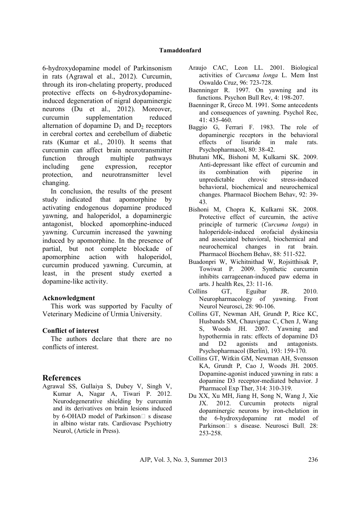6-hydroxydopamine model of Parkinsonism in rats (Agrawal et al., 2012). Curcumin, through its iron-chelating property, produced protective effects on 6-hydroxydopamineinduced degeneration of nigral dopaminergic neurons (Du et al., 2012). Moreover, curcumin supplementation reduced alternation of dopamine  $D_1$  and  $D_2$  receptors in cerebral cortex and cerebellum of diabetic rats (Kumar et al., 2010). It seems that curcumin can affect brain neurotransmitter function through multiple pathways including gene expression, receptor protection, and neurotransmitter level changing.

In conclusion, the results of the present study indicated that apomorphine by activating endogenous dopamine produced yawning, and haloperidol, a dopaminergic antagonist, blocked apomorphine-induced yawning. Curcumin increased the yawning induced by apomorphine. In the presence of partial, but not complete blockade of apomorphine action with haloperidol, curcumin produced yawning. Curcumin, at least, in the present study exerted a dopamine-like activity.

## **Acknowledgment**

This work was supported by Faculty of Veterinary Medicine of Urmia University.

## **Conflict of interest**

The authors declare that there are no conflicts of interest.

# **References**

Agrawal SS, Gullaiya S, Dubey V, Singh V, Kumar A, Nagar A, Tiwari P. 2012. Neurodegenerative shielding by curcumin and its derivatives on brain lesions induced by 6-OHAD model of Parkinson $\square$  s disease in albino wistar rats. Cardiovasc Psychiotry Neurol, (Article in Press).

- Araujo CAC, Leon LL. 2001. Biological activities of *Curcuma longa* L. Mem Inst Oswaldo Cruz, 96: 723-728.
- Baenninger R. 1997. On yawning and its functions. Psychon Bull Rev, 4: 198-207.
- Baenninger R, Greco M. 1991. Some antecedents and consequences of yawning. Psychol Rec, 41: 435-460.
- Baggio G, Ferrari F. 1983. The role of dopaminergic receptors in the behavioral effects of lisuride in male rats. Psychopharmacol, 80: 38-42.
- Bhutani MK, Bishoni M, Kulkarni SK. 2009. Anti-depressant like effect of curcumin and its combination with piperine in unpredictable chrovic stress-induced behavioral, biochemical and neurochemical changes. Pharmacol Biochem Behav, 92: 39- 43.
- Bishoni M, Chopra K, Kulkarni SK. 2008. Protective effect of curcumin, the active principle of turmeric (*Curcuma longa*) in haloperidole-induced orofacial dyskinesia and associated behavioral, biochemical and neurochemical changes in rat brain. Pharmacol Biochem Behav, 88: 511-522.
- Buadonpri W, Wichitnithad W, Rojsitthisak P, Towiwat P. 2009. Synthetic curcumin inhibits carrageenan-induced paw edema in arts. J health Res, 23: 11-16.
- Collins GT, Eguibar JR. 2010. Neuropharmacology of yawning. Front Neurol Neurosci, 28: 90-106.
- Collins GT, Newman AH, Grundt P, Rice KC, Husbands SM, Chauvignac C, Chen J, Wang S, Woods JH. 2007. Yawning and hypothermia in rats: effects of dopamine D3 and D2 agonists and antagonists. Psychopharmacol (Berlin), 193: 159-170.
- Collins GT, Witkin GM, Newman AH, Svensson KA, Grundt P, Cao J, Woods JH. 2005. Dopamine-agonist induced yawning in rats: a dopamine D3 receptor-mediated behavior. J Pharmacol Exp Ther, 314: 310-319.
- Du XX, Xu MH, Jiang H, Song N, Wang J, Xie JX. 2012. Curcumin protects nigral dopaminergic neurons by iron-chelation in the 6-hydroxydopamine rat model of Parkinson□ s disease. Neurosci Bull, 28: 253-258.

AJP, Vol. 3, No. 3, Summer 2013 236